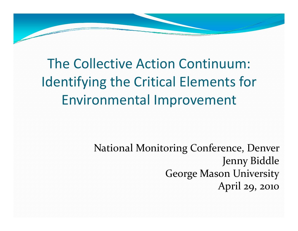The Collective Action Continuum: Identifying the Critical Elements for Environmental Improvement

> National Monitoring Conference, Denver Jenny Biddle George Mason UniversityApril 29, 2010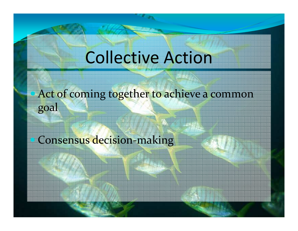### Collective Action

 $\bullet$  Act of coming together to achieve a common goal

• Consensus decision-making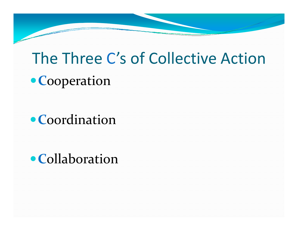## The Three C's of Collective Action**Cooperation**

**Coordination** 

**Collaboration**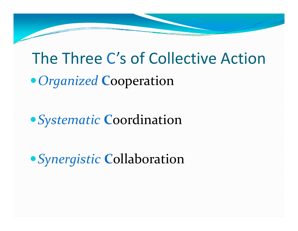# The Three C's of Collective Action*Organized* **<sup>C</sup>**ooperation

*Systematic* **<sup>C</sup>**oordination

*Synergistic* **<sup>C</sup>**ollaboration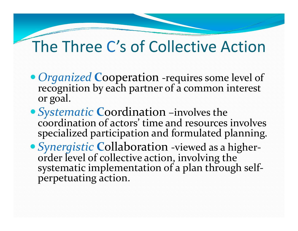### The Three C's of Collective Action

- *Organized* Cooperation -requires some level of recognition by each partner of a common interest or goal.
- *Systematic* Coordination –involves the coordination of actors' time and resources involvesspecialized participation and formulated planning.
- *Synergistic* Collaboration -viewed as a higherorder level of collective action, involving the systematic implementation of a plan through selfperpetuating action.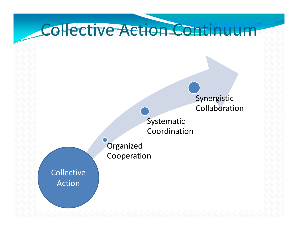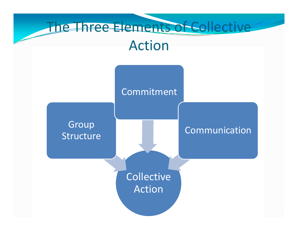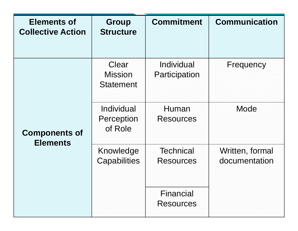| <b>Elements of</b><br><b>Collective Action</b> | <b>Group</b><br><b>Structure</b>            | <b>Commitment</b>                    | <b>Communication</b>             |
|------------------------------------------------|---------------------------------------------|--------------------------------------|----------------------------------|
| <b>Components of</b><br><b>Elements</b>        | Clear<br><b>Mission</b><br><b>Statement</b> | Individual<br>Participation          | Frequency                        |
|                                                | Individual<br>Perception<br>of Role         | Human<br><b>Resources</b>            | Mode                             |
|                                                | Knowledge<br>Capabilities                   | <b>Technical</b><br><b>Resources</b> | Written, formal<br>documentation |
|                                                |                                             | Financial<br><b>Resources</b>        |                                  |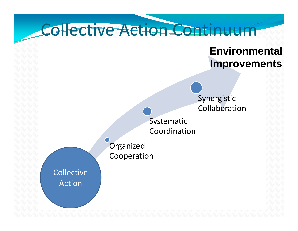

#### **EnvironmentalImprovements**

Synergistic Collaboration

Systematic Coordination

**Organized** Cooperation

**Collective** Action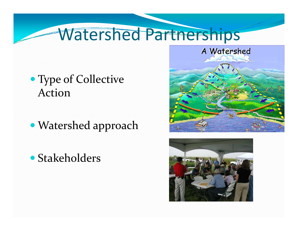### Watershed Partnerships

- Type of Collective Action
- Watershed approach
- Stakeholders



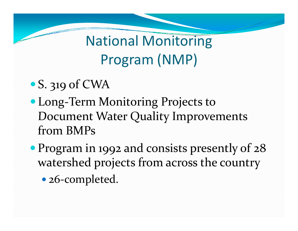National Monitoring Program (NMP)

- S. 319 of CWA
- Long-Term Monitoring Projects to Document Water Quality Improvements from BMPs
- Program in 1992 and consists presently of 28 watershed projects from across the country • 26-completed.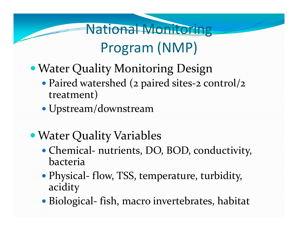### Program (NMP)

National Monitoring

- Water Quality Monitoring Design
	- Paired watershed ( $\sigma$  paired sites- $\sigma$   $\epsilon$ • Paired watershed (2 paired sites-2 control/2 treatment)
	- Upstream/downstream
- Water Quality Variables
	- Chemical- nutrients, DO, BOD, conductivity, bacteria
	- Physical- flow, TSS, temperature, turbidity, acidity
	- Biological- fish, macro invertebrates, habitat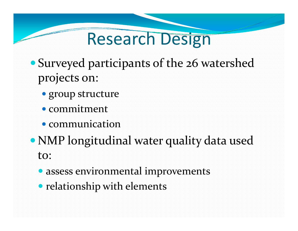## Research Design

- Surveyed participants of the 26 watershed projects on:
	- group structure
	- commitment
	- communication
- NMP longitudinal water quality data used to:
	- assess environmental improvements
	- relationship with elements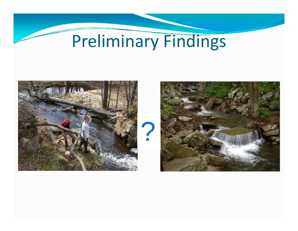# Preliminary Findings